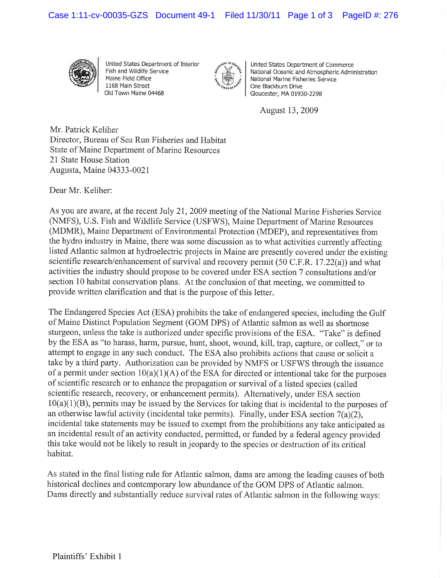Case 1:11-cv-00035-GZS Document 49-1 Filed 11/30/11 Page 1 of 3 PageID #: 276



United States Department of Interior Fish and Wildlife Service Maine Field Office 1168 Main Street Old Town Maine 04468



United States Department of Commerce Naüonal Oceanic and Atmospheric Administration National Marine Fisheries Service One Blackburn Drive Gloucester, MA 01930-2298

August 13,2009

Mr. Patrick Keliher Director, Bureau of Sea Run Fisheries and Habitat State of Maine Department of Marine Resources 21 State House Station Augusta, Maine 04333-0021

Dear Mr. Keliher:

As you are aware, at the recent July 21, 2009 meeting of the National Marine Fisheries Service (NMFS), U.S. Fish and Wildlife Service (USFWS), Maine Department of Marine Resources (MDMR), Maine Department of Environmental Protection (MDEP), and representatives from the hydro industry in Maine, there was some discussion as to what activities currently affecting listed Atlantic salmon at hydroelectric projects in Maine are presently covered under the existing scientific research/enhancement of survival and recovery permit (50 C.F.R. 17.22(a)) and what activities the industry should propose to be covered under ESA section 7 consultations and/or section 10 habitat conservation plans. At the conclusion of that meeting, we committed to provide written clarification and that is the purpose of this letter.

The Endangered Species Act (ESA) prohibits the take of endangered species, including the Gulf of Maine Distinct Population Segment (GOM DPS) of Atlantic salmon as well as shortnose sturgeon, unless the take is authorized under specific provisions of the ESA. "Take" is defined by the ESA as "to harass, harm, pursue, hunt, shoot, wound, kill, trap, capture, or collect," or to attempt to engage in any such conduct. The ESA also prohibits actions that cause or solicit <sup>a</sup> take by a third party. Authorization can be provided by NMFS or USFWS through the issuance of a permit under section  $10(a)(1)(A)$  of the ESA for directed or intentional take for the purposes of scientific research or to enhance the propagation or survival of a listed species (called scientific research, recovery, or enhancement permits). Alternatively, under ESA section 10(a)(1)(B), permits may be issued by the Services for taking that is incidental to the purposes of an otherwise lawful activity (incidental take permits). Finally, under ESA section  $7(a)(2)$ , incidental take statements may be issued to exempt from the prohibitions any take anticipated as an incidental result of an activity conducted, permitted, or funded by a federal agency provided this take would not be likely to result in jeopardy to the species or destruction of its critical habitat.

As stated in the final listing rule for Atlantic salmon, dams are among the leading causes of both historical declines and contemporary low abundance of the GOM DPS of Atlantic salmon. Dams directly and substantially reduce survival rates of Atlantic salmon in the following ways: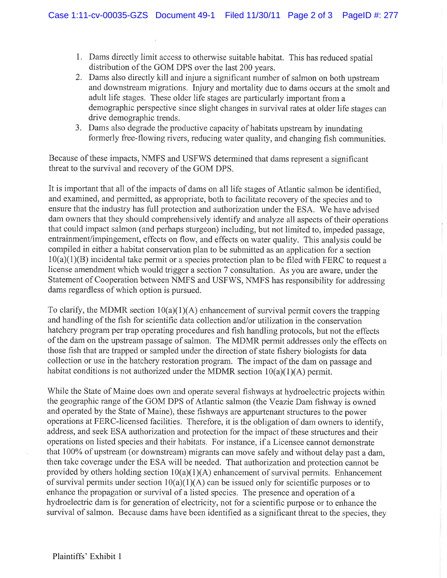- 1. Dams directly limit access to otherwise suitable habitat. This has reduced spatial distribution of the GOM DPS over the last 200 years.
- 2. Dams also directly kill and injure a significant number of salmon on both upstream and downstream migrations. Injury and mortality due to dams occurs at the smolt and adult life stages. These older life stages are particularly important from <sup>a</sup> demographic perspective since slight changes in survival rates at older life stages can drive demographic trends.
- 3. Dams also degrade the productive capacity of habitats upstream by inundating formerly free-flowing rivers, reducing water quality, and changing fish communities.

Because of these impacts, NMFS and USFWS determined that dams represent a significant threat to the survival and recovery of the GOM DPS.

It is important that all of the impacts of dams on all life stages of Atlantic salmon be identified, and examined, and permitted, as appropriate, both to facilitate recovery of the species and to ensure that the industry has full protection and authorization under the ESA. We have advised dam owners that they should comprehensively identify and analyze all aspects of their operations that could impact salmon (and perhaps sturgeon) including, but not limited to, impeded passage, entrainment/impingement, effects on flow, and effects on water quality. This analysis could be compiled in either a habitat conservation plan to be submitted as an application for a section  $10(a)(1)(B)$  incidental take permit or a species protection plan to be filed with FERC to request a license amendment which would trigger a section 7 consultation. As you are aware, under the Statement of Cooperation between NMFS and USFWS, NMFS has responsibility for addressing dams regardless of which option is pursued.

To clarify, the MDMR section  $10(a)(1)(A)$  enhancement of survival permit covers the trapping and handling of the fish for scientific data collection and/or utilization in the conservation hatchery program per trap operating procedures and fish handling protocols, but not the effects of the dam on the upstream passage of salmon. The MDMR permit addresses only the effects on those fish that are trapped or sampled under the direction of state fishery biologists for data collection or use in the hatchery restoration program. The impact of the dam on passage and habitat conditions is not authorized under the MDMR section  $10(a)(1)(A)$  permit.

While the State of Maine does own and operate several fishways at hydroelectric projects within the geographic range of the GOM DPS of Atlantic salmon (the Veazie Dam fishway is owned and operated by the State of Maine), these fishways are appurtenant structures to the power operations at FERC-licensed facilities. Therefore, it is the obligation of dam owners to identify, address, and seek ESA authorization and protection for the impact of these structures and their operations on listed species and their habitats. For instance, if a Licensee cannot demonstrate that 100% of upstream (or downstream) migrants can move safely and without delay past a dam, then take coverage under the ESA will be needed. That authorization and protection cannot be provided by others holding section  $10(a)(1)(A)$  enhancement of survival permits. Enhancement of survival permits under section  $10(a)(1)(A)$  can be issued only for scientific purposes or to enhance the propagation or survival of a listed species. The presence and operation of a hydroelectric dam is for generation of electricity, not for a scientific purpose or to enhance the survival of salmon. Because dams have been identified as a significant threat to the species, they